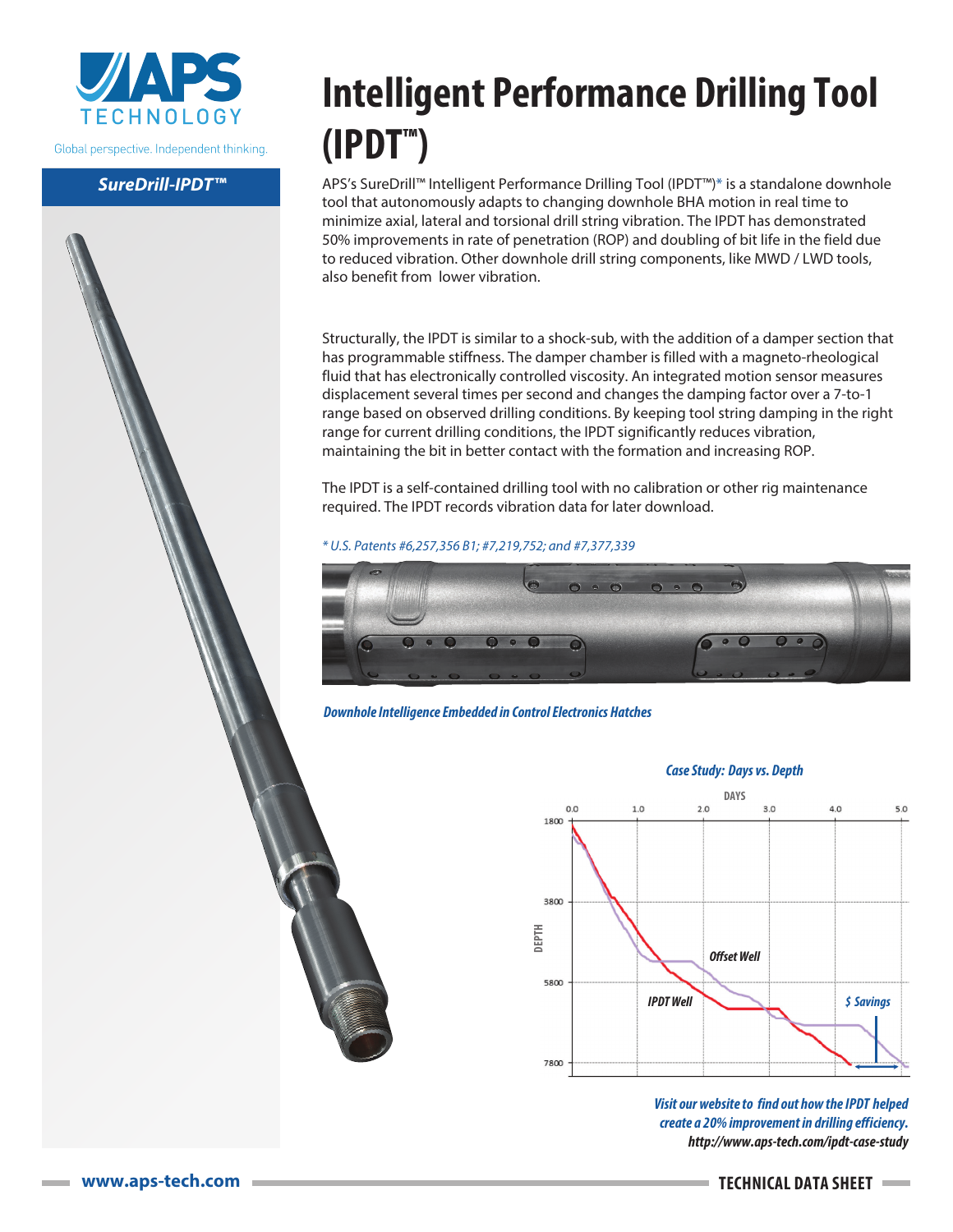

Global perspective. Independent thinking.

## *SureDrill-***IPDT***™*

## **Intelligent Performance Drilling Tool (IPDT™)**

APS's SureDrill™ Intelligent Performance Drilling Tool (IPDT™)\* is a standalone downhole tool that autonomously adapts to changing downhole BHA motion in real time to minimize axial, lateral and torsional drill string vibration. The IPDT has demonstrated 50% improvements in rate of penetration (ROP) and doubling of bit life in the field due to reduced vibration. Other downhole drill string components, like MWD / LWD tools, also benefit from lower vibration.

Structurally, the IPDT is similar to a shock-sub, with the addition of a damper section that has programmable stiffness. The damper chamber is filled with a magneto-rheological fluid that has electronically controlled viscosity. An integrated motion sensor measures displacement several times per second and changes the damping factor over a 7-to-1 range based on observed drilling conditions. By keeping tool string damping in the right range for current drilling conditions, the IPDT significantly reduces vibration, maintaining the bit in better contact with the formation and increasing ROP.

The IPDT is a self-contained drilling tool with no calibration or other rig maintenance required. The IPDT records vibration data for later download.

*\* U.S. Patents #6,257,356 B1; #7,219,752; and #7,377,339*



*Downhole Intelligence Embedded in Control Electronics Hatches*



*Visit our website to* **f***ind out how* **theIPDT** *helped create a 20% improvement in drilling efficiency. http://www.aps-tech.com/***ipdt***-case-study*